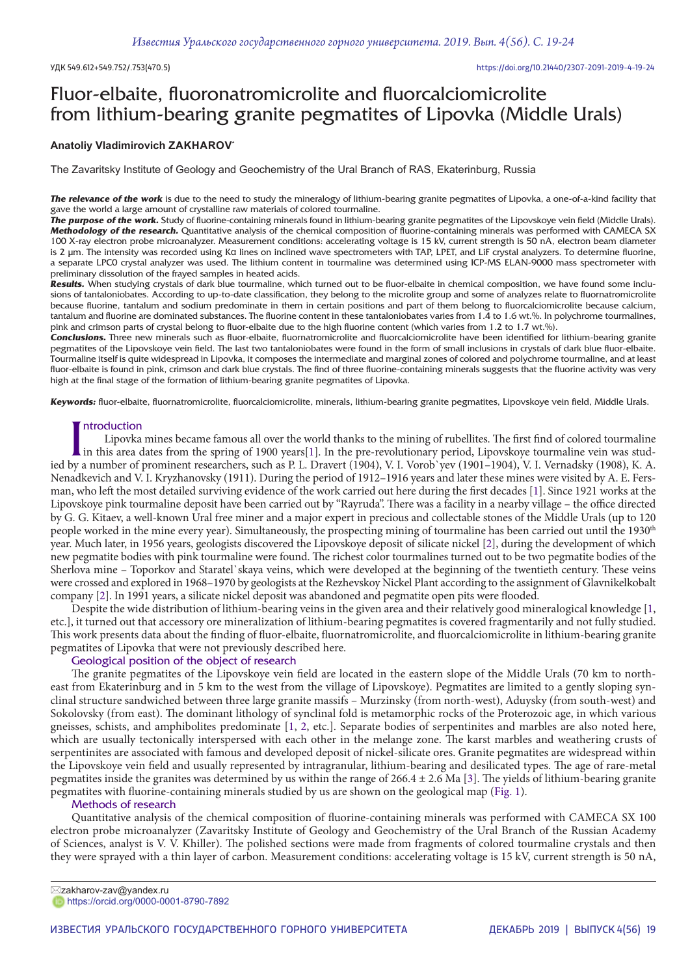## Fluor-elbaite, fluoronatromicrolite and fluorcalciomicrolite from lithium-bearing granite pegmatites of Lipovka (Middle Urals)

## **Anatoliy Vladimirovich ZAKHAROV\***

The Zavaritsky Institute of Geology and Geochemistry of the Ural Branch of RAS, Ekaterinburg, Russia

*The relevance of the work* is due to the need to study the mineralogy of lithium-bearing granite pegmatites of Lipovka, a one-of-a-kind facility that gave the world a large amount of crystalline raw materials of colored tourmaline.

*The purpose of the work.* Study of fluorine-containing minerals found in lithium-bearing granite pegmatites of the Lipovskoye vein field (Middle Urals). *Methodology of the research.* Quantitative analysis of the chemical composition of fluorine-containing minerals was performed with CAMECA SX 100 X-ray electron probe microanalyzer. Measurement conditions: accelerating voltage is 15 kV, current strength is 50 nA, electron beam diameter is 2 μm. The intensity was recorded using Kα lines on inclined wave spectrometers with TAP, LPET, and LiF crystal analyzers. To determine fluorine, a separate LPC0 crystal analyzer was used. The lithium content in tourmaline was determined using ICP-MS ELAN-9000 mass spectrometer with preliminary dissolution of the frayed samples in heated acids.

*Results.* When studying crystals of dark blue tourmaline, which turned out to be fluor-elbaite in chemical composition, we have found some inclusions of tantaloniobates. According to up-to-date classification, they belong to the microlite group and some of analyzes relate to fluornatromicrolite because fluorine, tantalum and sodium predominate in them in certain positions and part of them belong to fluorcalciomicrolite because calcium, tantalum and fluorine are dominated substances. The fluorine content in these tantaloniobates varies from 1.4 to 1.6 wt.%. In polychrome tourmalines, pink and crimson parts of crystal belong to fluor-elbaite due to the high fluorine content (which varies from 1.2 to 1.7 wt.%).

*Conclusions.* Three new minerals such as fluor-elbaite, fluornatromicrolite and fluorcalciomicrolite have been identified for lithium-bearing granite pegmatites of the Lipovskoye vein field. The last two tantaloniobates were found in the form of small inclusions in crystals of dark blue fluor-elbaite. Tourmaline itself is quite widespread in Lipovka, it composes the intermediate and marginal zones of colored and polychrome tourmaline, and at least fluor-elbaite is found in pink, crimson and dark blue crystals. The find of three fluorine-containing minerals suggests that the fluorine activity was very high at the final stage of the formation of lithium-bearing granite pegmatites of Lipovka.

*Keywords:* fluor-elbaite, fluornatromicrolite, fluorcalciomicrolite, minerals, lithium-bearing granite pegmatites, Lipovskoye vein field, Middle Urals.

### ntroduction

Introduction<br>In this area dates from the spring of 1900 years[1]. In the pre-revolutionary period, Lipovskoye tourmaline vein was studied by a number of prominent researchers, such as P. L. Dravert (1904), V. I. Vorob`yev Lipovka mines became famous all over the world thanks to the mining of rubellites. The first find of colored tourmaline in this area dates from the spring of 1900 years[1]. In the pre-revolutionary period, Lipovskoye tourmaline vein was stud-Nenadkevich and V. I. Kryzhanovsky (1911). During the period of 1912–1916 years and later these mines were visited by A. E. Fersman, who left the most detailed surviving evidence of the work carried out here during the first decades [1]. Since 1921 works at the Lipovskoye pink tourmaline deposit have been carried out by "Rayruda". There was a facility in a nearby village – the office directed by G. G. Kitaev, a well-known Ural free miner and a major expert in precious and collectable stones of the Middle Urals (up to 120 people worked in the mine every year). Simultaneously, the prospecting mining of tourmaline has been carried out until the 1930<sup>th</sup> year. Much later, in 1956 years, geologists discovered the Lipovskoye deposit of silicate nickel [2], during the development of which new pegmatite bodies with pink tourmaline were found. The richest color tourmalines turned out to be two pegmatite bodies of the Sherlova mine – Toporkov and Staratel`skaya veins, which were developed at the beginning of the twentieth century. These veins were crossed and explored in 1968–1970 by geologists at the Rezhevskoy Nickel Plant according to the assignment of Glavnikelkobalt company [2]. In 1991 years, a silicate nickel deposit was abandoned and pegmatite open pits were flooded.

Despite the wide distribution of lithium-bearing veins in the given area and their relatively good mineralogical knowledge [1, etc.], it turned out that accessory ore mineralization of lithium-bearing pegmatites is covered fragmentarily and not fully studied. This work presents data about the finding of fluor-elbaite, fluornatromicrolite, and fluorcalciomicrolite in lithium-bearing granite pegmatites of Lipovka that were not previously described here.

## Geological position of the object of research

The granite pegmatites of the Lipovskoye vein field are located in the eastern slope of the Middle Urals (70 km to northeast from Ekaterinburg and in 5 km to the west from the village of Lipovskoye). Pegmatites are limited to a gently sloping synclinal structure sandwiched between three large granite massifs – Murzinsky (from north-west), Aduysky (from south-west) and Sokolovsky (from east). The dominant lithology of synclinal fold is metamorphic rocks of the Proterozoic age, in which various gneisses, schists, and amphibolites predominate [1, 2, etc.]. Separate bodies of serpentinites and marbles are also noted here, which are usually tectonically interspersed with each other in the melange zone. The karst marbles and weathering crusts of serpentinites are associated with famous and developed deposit of nickel-silicate ores. Granite pegmatites are widespread within the Lipovskoye vein field and usually represented by intragranular, lithium-bearing and desilicated types. The age of rare-metal pegmatites inside the granites was determined by us within the range of 266.4 ± 2.6 Ma [3]. The yields of lithium-bearing granite pegmatites with fluorine-containing minerals studied by us are shown on the geological map (Fig. 1).

### Methods of research

Quantitative analysis of the chemical composition of fluorine-containing minerals was performed with CAMECA SX 100 electron probe microanalyzer (Zavaritsky Institute of Geology and Geochemistry of the Ural Branch of the Russian Academy of Sciences, analyst is V. V. Khiller). The polished sections were made from fragments of colored tourmaline crystals and then they were sprayed with a thin layer of carbon. Measurement conditions: accelerating voltage is 15 kV, current strength is 50 nA,

zakharov-zav@yandex.ru https://orcid.org/0000-0001-8790-7892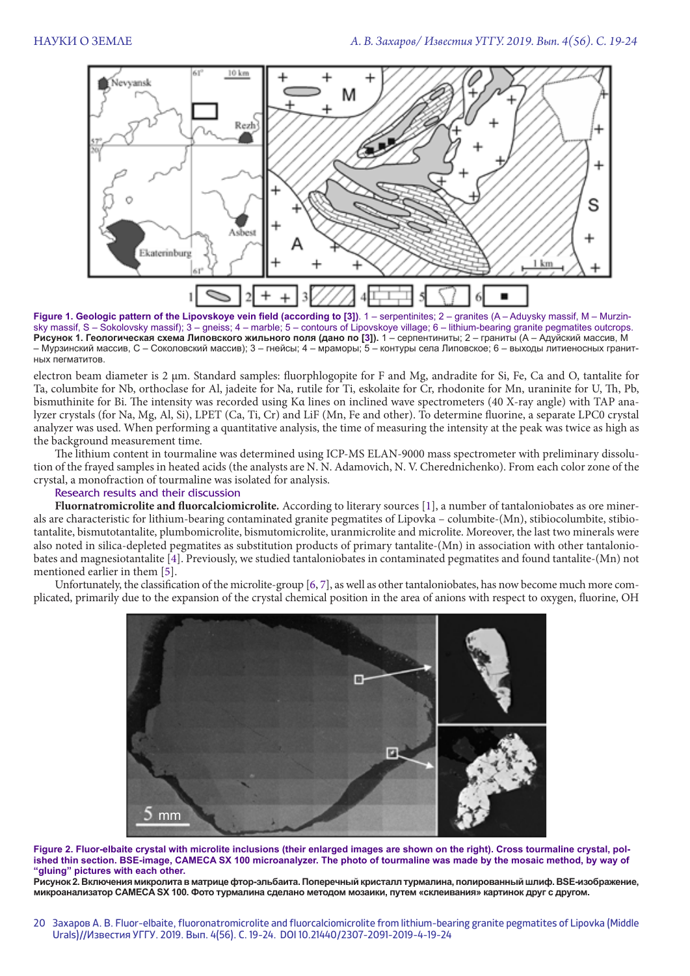

Figure 1. Geologic pattern of the Lipovskoye vein field (according to [3]). 1 – serpentinites; 2 – granites (A – Aduysky massif, M – Murzinsky massif, S – Sokolovsky massif); 3 – gneiss; 4 – marble; 5 – contours of Lipovskoye village; 6 – lithium-bearing granite pegmatites outcrops. **Рисунок 1. Геологическая схема Липовского жильного поля (дано по [3]).** 1 – серпентиниты; 2 – граниты (А – Адуйский массив, М – Мурзинский массив, С – Соколовский массив); 3 – гнейсы; 4 – мраморы; 5 – контуры села Липовское; 6 – выходы литиеносных гранитных пегматитов.

electron beam diameter is 2 μm. Standard samples: fluorphlogopite for F and Mg, andradite for Si, Fe, Ca and O, tantalite for Ta, columbite for Nb, orthoclase for Al, jadeite for Na, rutile for Ti, eskolaite for Cr, rhodonite for Mn, uraninite for U, Th, Pb, bismuthinite for Bi. The intensity was recorded using Kα lines on inclined wave spectrometers (40 X-ray angle) with TAP analyzer crystals (for Na, Mg, Al, Si), LPET (Ca, Ti, Cr) and LiF (Mn, Fe and other). To determine fluorine, a separate LPC0 crystal analyzer was used. When performing a quantitative analysis, the time of measuring the intensity at the peak was twice as high as the background measurement time.

The lithium content in tourmaline was determined using ICP-MS ELAN-9000 mass spectrometer with preliminary dissolution of the frayed samples in heated acids (the analysts are N. N. Adamovich, N. V. Cherednichenko). From each color zone of the crystal, a monofraction of tourmaline was isolated for analysis.

## Research results and their discussion

**Fluornatromicrolite and fluorcalciomicrolite***.* According to literary sources [1], a number of tantaloniobates as ore minerals are characteristic for lithium-bearing contaminated granite pegmatites of Lipovka – columbite-(Mn), stibiocolumbite, stibiotantalite, bismutotantalite, plumbomicrolite, bismutomicrolite, uranmicrolite and microlite. Moreover, the last two minerals were also noted in silica-depleted pegmatites as substitution products of primary tantalite-(Mn) in association with other tantaloniobates and magnesiotantalite [4]. Previously, we studied tantaloniobates in contaminated pegmatites and found tantalite-(Mn) not mentioned earlier in them [5].

Unfortunately, the classification of the microlite-group [6, 7], as well as other tantaloniobates, has now become much more complicated, primarily due to the expansion of the crystal chemical position in the area of anions with respect to oxygen, fluorine, OH



**Figure 2. Fluor-elbaite crystal with microlite inclusions (their enlarged images are shown on the right). Cross tourmaline crystal, polished thin section. BSE-image, CAMECA SX 100 microanalyzer. The photo of tourmaline was made by the mosaic method, by way of "gluing" pictures with each other.**

**Рисунок 2. Включения микролита в матрице фтор-эльбаита. Поперечный кристалл турмалина, полированный шлиф. BSE-изображение, микроанализатор CAMECA SX 100. Фото турмалина сделано методом мозаики, путем «склеивания» картинок друг с другом.**

20 3axapos A. B. Fluor-elbaite, fluoronatromicrolite and fluorcalciomicrolite from lithium-bearing granite pegmatites of Lipovka (Middle Захаров А. В. Fluor-elbaite, fluoronatromicrolite and fluorcalciomicrolite from lithium-bearing granite pegmatites of Lipovka (Middle<br>Urals)//Известия УГГУ. 2019. Вып. 4(56). С. 19-24. DOI 10.21440/2307-2091-2019-4-19-24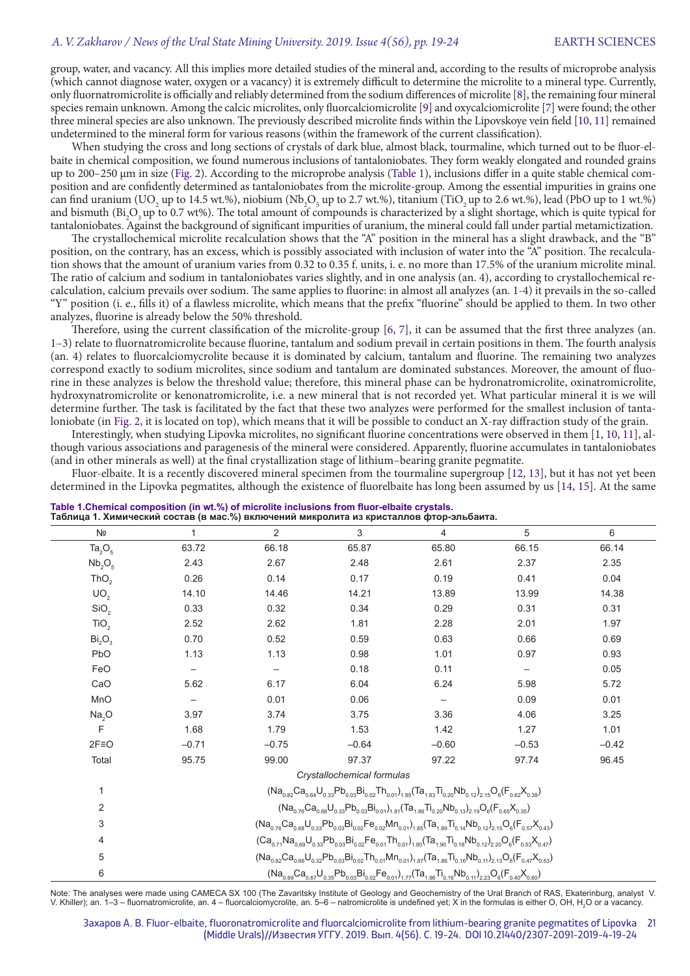## *A. V. Zakharov / News of the Ural State Mining University. 2019. Issue 4(56), pp. 19-24* EARTH SCIENCES

| group, water, and vacancy. All this implies more detailed studies of the mineral and, according to the results of microprobe analysis                                                                                                                                                                      |                                                                                                                               |                                                                                                                                                                                                                  |                            |                                                                                                                                                                                                    |                   |                                                                                                                                 |
|------------------------------------------------------------------------------------------------------------------------------------------------------------------------------------------------------------------------------------------------------------------------------------------------------------|-------------------------------------------------------------------------------------------------------------------------------|------------------------------------------------------------------------------------------------------------------------------------------------------------------------------------------------------------------|----------------------------|----------------------------------------------------------------------------------------------------------------------------------------------------------------------------------------------------|-------------------|---------------------------------------------------------------------------------------------------------------------------------|
| (which cannot diagnose water, oxygen or a vacancy) it is extremely difficult to determine the microlite to a mineral type. Currently,                                                                                                                                                                      |                                                                                                                               |                                                                                                                                                                                                                  |                            |                                                                                                                                                                                                    |                   |                                                                                                                                 |
| only fluornatromicrolite is officially and reliably determined from the sodium differences of microlite [8], the remaining four mineral<br>species remain unknown. Among the calcic microlites, only fluorcalciomicrolite [9] and oxycalciomicrolite [7] were found; the other                             |                                                                                                                               |                                                                                                                                                                                                                  |                            |                                                                                                                                                                                                    |                   |                                                                                                                                 |
| three mineral species are also unknown. The previously described microlite finds within the Lipovskoye vein field [10, 11] remained                                                                                                                                                                        |                                                                                                                               |                                                                                                                                                                                                                  |                            |                                                                                                                                                                                                    |                   |                                                                                                                                 |
| undetermined to the mineral form for various reasons (within the framework of the current classification).                                                                                                                                                                                                 |                                                                                                                               |                                                                                                                                                                                                                  |                            |                                                                                                                                                                                                    |                   |                                                                                                                                 |
|                                                                                                                                                                                                                                                                                                            |                                                                                                                               |                                                                                                                                                                                                                  |                            |                                                                                                                                                                                                    |                   | When studying the cross and long sections of crystals of dark blue, almost black, tourmaline, which turned out to be fluor-el-  |
| baite in chemical composition, we found numerous inclusions of tantaloniobates. They form weakly elongated and rounded grains                                                                                                                                                                              |                                                                                                                               |                                                                                                                                                                                                                  |                            |                                                                                                                                                                                                    |                   |                                                                                                                                 |
| up to 200-250 µm in size (Fig. 2). According to the microprobe analysis (Table 1), inclusions differ in a quite stable chemical com-                                                                                                                                                                       |                                                                                                                               |                                                                                                                                                                                                                  |                            |                                                                                                                                                                                                    |                   |                                                                                                                                 |
| position and are confidently determined as tantaloniobates from the microlite-group. Among the essential impurities in grains one                                                                                                                                                                          |                                                                                                                               |                                                                                                                                                                                                                  |                            |                                                                                                                                                                                                    |                   |                                                                                                                                 |
| can find uranium (UO, up to 14.5 wt.%), niobium (Nb, O <sub>5</sub> up to 2.7 wt.%), titanium (TiO <sub>2</sub> up to 2.6 wt.%), lead (PbO up to 1 wt.%)<br>and bismuth (Bi,O <sub>3</sub> up to 0.7 wt%). The total amount of compounds is characterized by a slight shortage, which is quite typical for |                                                                                                                               |                                                                                                                                                                                                                  |                            |                                                                                                                                                                                                    |                   |                                                                                                                                 |
| tantaloniobates. Against the background of significant impurities of uranium, the mineral could fall under partial metamictization.                                                                                                                                                                        |                                                                                                                               |                                                                                                                                                                                                                  |                            |                                                                                                                                                                                                    |                   |                                                                                                                                 |
|                                                                                                                                                                                                                                                                                                            |                                                                                                                               |                                                                                                                                                                                                                  |                            |                                                                                                                                                                                                    |                   | The crystallochemical microlite recalculation shows that the "A" position in the mineral has a slight drawback, and the "B"     |
| position, on the contrary, has an excess, which is possibly associated with inclusion of water into the "A" position. The recalcula-<br>tion shows that the amount of uranium varies from 0.32 to 0.35 f. units, i. e. no more than 17.5% of the uranium microlite minal.                                  |                                                                                                                               |                                                                                                                                                                                                                  |                            |                                                                                                                                                                                                    |                   |                                                                                                                                 |
| The ratio of calcium and sodium in tantaloniobates varies slightly, and in one analysis (an. 4), according to crystallochemical re-                                                                                                                                                                        |                                                                                                                               |                                                                                                                                                                                                                  |                            |                                                                                                                                                                                                    |                   |                                                                                                                                 |
| calculation, calcium prevails over sodium. The same applies to fluorine: in almost all analyzes (an. 1-4) it prevails in the so-called<br>"Y" position (i. e., fills it) of a flawless microlite, which means that the prefix "fluorine" should be applied to them. In two other                           |                                                                                                                               |                                                                                                                                                                                                                  |                            |                                                                                                                                                                                                    |                   |                                                                                                                                 |
| analyzes, fluorine is already below the 50% threshold.                                                                                                                                                                                                                                                     |                                                                                                                               |                                                                                                                                                                                                                  |                            |                                                                                                                                                                                                    |                   |                                                                                                                                 |
|                                                                                                                                                                                                                                                                                                            |                                                                                                                               |                                                                                                                                                                                                                  |                            |                                                                                                                                                                                                    |                   | Therefore, using the current classification of the microlite-group [6, 7], it can be assumed that the first three analyzes (an. |
| 1-3) relate to fluornatromicrolite because fluorine, tantalum and sodium prevail in certain positions in them. The fourth analysis                                                                                                                                                                         |                                                                                                                               |                                                                                                                                                                                                                  |                            |                                                                                                                                                                                                    |                   |                                                                                                                                 |
| (an. 4) relates to fluorcalciomycrolite because it is dominated by calcium, tantalum and fluorine. The remaining two analyzes                                                                                                                                                                              |                                                                                                                               |                                                                                                                                                                                                                  |                            |                                                                                                                                                                                                    |                   |                                                                                                                                 |
| correspond exactly to sodium microlites, since sodium and tantalum are dominated substances. Moreover, the amount of fluo-                                                                                                                                                                                 |                                                                                                                               |                                                                                                                                                                                                                  |                            |                                                                                                                                                                                                    |                   |                                                                                                                                 |
| rine in these analyzes is below the threshold value; therefore, this mineral phase can be hydronatromicrolite, oxinatromicrolite,<br>hydroxynatromicrolite or kenonatromicrolite, i.e. a new mineral that is not recorded yet. What particular mineral it is we will                                       |                                                                                                                               |                                                                                                                                                                                                                  |                            |                                                                                                                                                                                                    |                   |                                                                                                                                 |
| determine further. The task is facilitated by the fact that these two analyzes were performed for the smallest inclusion of tanta-                                                                                                                                                                         |                                                                                                                               |                                                                                                                                                                                                                  |                            |                                                                                                                                                                                                    |                   |                                                                                                                                 |
| loniobate (in Fig. 2, it is located on top), which means that it will be possible to conduct an X-ray diffraction study of the grain.                                                                                                                                                                      |                                                                                                                               |                                                                                                                                                                                                                  |                            |                                                                                                                                                                                                    |                   |                                                                                                                                 |
|                                                                                                                                                                                                                                                                                                            |                                                                                                                               |                                                                                                                                                                                                                  |                            |                                                                                                                                                                                                    |                   | Interestingly, when studying Lipovka microlites, no significant fluorine concentrations were observed in them [1, 10, 11], al-  |
| though various associations and paragenesis of the mineral were considered. Apparently, fluorine accumulates in tantaloniobates                                                                                                                                                                            |                                                                                                                               |                                                                                                                                                                                                                  |                            |                                                                                                                                                                                                    |                   |                                                                                                                                 |
| (and in other minerals as well) at the final crystallization stage of lithium-bearing granite pegmatite.                                                                                                                                                                                                   |                                                                                                                               |                                                                                                                                                                                                                  |                            |                                                                                                                                                                                                    |                   | Fluor-elbaite. It is a recently discovered mineral specimen from the tourmaline supergroup [12, 13], but it has not yet been    |
| determined in the Lipovka pegmatites, although the existence of fluorelbaite has long been assumed by us [14, 15]. At the same                                                                                                                                                                             |                                                                                                                               |                                                                                                                                                                                                                  |                            |                                                                                                                                                                                                    |                   |                                                                                                                                 |
|                                                                                                                                                                                                                                                                                                            |                                                                                                                               |                                                                                                                                                                                                                  |                            |                                                                                                                                                                                                    |                   |                                                                                                                                 |
| Table 1. Chemical composition (in wt.%) of microlite inclusions from fluor-elbaite crystals.<br>Таблица 1. Химический состав (в мас.%) включений микролита из кристаллов фтор-эльбаита.                                                                                                                    |                                                                                                                               |                                                                                                                                                                                                                  |                            |                                                                                                                                                                                                    |                   |                                                                                                                                 |
| Nº                                                                                                                                                                                                                                                                                                         | 1                                                                                                                             | $\overline{2}$                                                                                                                                                                                                   | 3                          | 4                                                                                                                                                                                                  | 5                 | 6                                                                                                                               |
| $Ta_2O_5$                                                                                                                                                                                                                                                                                                  | 63.72                                                                                                                         | 66.18                                                                                                                                                                                                            | 65.87                      | 65.80                                                                                                                                                                                              | 66.15             | 66.14                                                                                                                           |
| Nb <sub>2</sub> O <sub>5</sub>                                                                                                                                                                                                                                                                             | 2.43                                                                                                                          | 2.67                                                                                                                                                                                                             | 2.48                       | 2.61                                                                                                                                                                                               | 2.37              | 2.35                                                                                                                            |
| ThO <sub>2</sub>                                                                                                                                                                                                                                                                                           | 0.26                                                                                                                          | 0.14                                                                                                                                                                                                             | 0.17                       | 0.19                                                                                                                                                                                               | 0.41              | 0.04                                                                                                                            |
| $\overline{UO}_2$                                                                                                                                                                                                                                                                                          | 14.10                                                                                                                         | 14.46                                                                                                                                                                                                            | 14.21                      | 13.89                                                                                                                                                                                              | 13.99             | 14.38                                                                                                                           |
| SiO <sub>2</sub>                                                                                                                                                                                                                                                                                           | 0.33                                                                                                                          | 0.32                                                                                                                                                                                                             | 0.34                       | 0.29                                                                                                                                                                                               | 0.31              | 0.31                                                                                                                            |
| TiO <sub>2</sub>                                                                                                                                                                                                                                                                                           | 2.52                                                                                                                          | 2.62                                                                                                                                                                                                             | 1.81                       | 2.28                                                                                                                                                                                               | 2.01              | 1.97                                                                                                                            |
| Bi <sub>2</sub> O <sub>3</sub>                                                                                                                                                                                                                                                                             | 0.70                                                                                                                          | 0.52                                                                                                                                                                                                             | 0.59                       | 0.63                                                                                                                                                                                               | 0.66              | 0.69                                                                                                                            |
| PbO                                                                                                                                                                                                                                                                                                        | 1.13                                                                                                                          | 1.13                                                                                                                                                                                                             | 0.98                       | 1.01                                                                                                                                                                                               | 0.97              | 0.93                                                                                                                            |
| FeO                                                                                                                                                                                                                                                                                                        | $\qquad \qquad -$                                                                                                             | $\qquad \qquad -$                                                                                                                                                                                                | 0.18                       | 0.11                                                                                                                                                                                               | $\qquad \qquad -$ | 0.05                                                                                                                            |
| CaO                                                                                                                                                                                                                                                                                                        | 5.62                                                                                                                          | 6.17                                                                                                                                                                                                             | 6.04                       | 6.24                                                                                                                                                                                               | 5.98              | 5.72                                                                                                                            |
| MnO                                                                                                                                                                                                                                                                                                        | $\overline{\phantom{m}}$                                                                                                      | 0.01                                                                                                                                                                                                             | 0.06                       | $\qquad \qquad -$                                                                                                                                                                                  | 0.09              | 0.01                                                                                                                            |
| Na <sub>2</sub> O                                                                                                                                                                                                                                                                                          | 3.97                                                                                                                          | 3.74                                                                                                                                                                                                             | 3.75                       | 3.36                                                                                                                                                                                               | 4.06              | 3.25                                                                                                                            |
| F                                                                                                                                                                                                                                                                                                          | 1.68                                                                                                                          | 1.79                                                                                                                                                                                                             | 1.53                       | 1.42                                                                                                                                                                                               | 1.27              | 1.01                                                                                                                            |
| $2F \equiv 0$                                                                                                                                                                                                                                                                                              | $-0.71$                                                                                                                       | $-0.75$                                                                                                                                                                                                          | $-0.64$                    | $-0.60$                                                                                                                                                                                            | $-0.53$           | $-0.42$                                                                                                                         |
| Total                                                                                                                                                                                                                                                                                                      | 95.75                                                                                                                         | 99.00                                                                                                                                                                                                            | 97.37                      | 97.22                                                                                                                                                                                              | 97.74             | 96.45                                                                                                                           |
|                                                                                                                                                                                                                                                                                                            |                                                                                                                               |                                                                                                                                                                                                                  | Crystallochemical formulas |                                                                                                                                                                                                    |                   |                                                                                                                                 |
| 1                                                                                                                                                                                                                                                                                                          |                                                                                                                               |                                                                                                                                                                                                                  |                            | $(Na_{0.82}Ca_{0.64}U_{0.33}Pb_{0.03}Bi_{0.02}Th_{0.01})_{1.85}(Ta_{1.83}Ti_{0.20}Nb_{0.12})_{2.15}O_6(F_{0.62}X_{0.38})$                                                                          |                   |                                                                                                                                 |
| 2                                                                                                                                                                                                                                                                                                          |                                                                                                                               |                                                                                                                                                                                                                  |                            | $(Na_{0.76}Ca_{0.68}U_{0.33}Pb_{0.03}Bi_{0.01})_{1.81}(Ta_{1.86}Ti_{0.20}Nb_{0.13})_{2.19}O_6(F_{0.65}X_{0.35})$                                                                                   |                   |                                                                                                                                 |
| 3                                                                                                                                                                                                                                                                                                          |                                                                                                                               |                                                                                                                                                                                                                  |                            | $(Na_{0.76}Ca_{0.68}U_{0.33}Pb_{0.03}Bi_{0.02}Fe_{0.02}Mn_{0.01})_{1.85}(Ta_{1.89}Ti_{0.14}Nb_{0.12})_{2.15}O_6(F_{0.57}X_{0.43})$                                                                 |                   |                                                                                                                                 |
| 4                                                                                                                                                                                                                                                                                                          |                                                                                                                               |                                                                                                                                                                                                                  |                            |                                                                                                                                                                                                    |                   |                                                                                                                                 |
|                                                                                                                                                                                                                                                                                                            |                                                                                                                               |                                                                                                                                                                                                                  |                            | $(Ca_{0.71}Na_{0.69}U_{0.33}Pb_{0.03}Bi_{0.02}Fe_{0.01}Th_{0.01})_{1.80}(Ta_{1.90}Ti_{0.18}Nb_{0.12})_{2.20}O_6(F_{0.53}X_{0.47})$                                                                 |                   |                                                                                                                                 |
| 5                                                                                                                                                                                                                                                                                                          |                                                                                                                               | $({\rm Na}_{0.82}{\rm Ca}_{0.66}{\rm U}_{0.32}{\rm Pb}_{0.03}{\rm Bi}_{0.02}{\rm Th}_{0.01}{\rm Mn}_{0.01})_{1.87}({\rm Ta}_{1.86}{\rm Ti}_{0.16}{\rm Nb}_{0.11})_{2.13}{\rm O}_6({\rm F}_{0.47}{\rm X}_{0.53})$ |                            |                                                                                                                                                                                                    |                   |                                                                                                                                 |
| 6                                                                                                                                                                                                                                                                                                          |                                                                                                                               |                                                                                                                                                                                                                  |                            | $(Na_{0.69}Ca_{0.67}U_{0.35}Pb_{0.03}Bi_{0.02}Fe_{0.01})_{1.77}$ (Ta <sub>1.96</sub> Ti <sub>0.16</sub> Nb <sub>0.11</sub> ) <sub>2.23</sub> O <sub>6</sub> (F <sub>0.40</sub> X <sub>0.60</sub> ) |                   |                                                                                                                                 |
| Note: The analyses were made using CAMECA SX 100 (The Zavaritsky Institute of Geology and Geochemistry of the Ural Branch of RAS, Ekaterinburg, analyst V.                                                                                                                                                 |                                                                                                                               |                                                                                                                                                                                                                  |                            |                                                                                                                                                                                                    |                   |                                                                                                                                 |
| V. Khiller); an. 1–3 – fluornatromicrolite, an. 4 – fluorcalciomycrolite, an. 5–6 – natromicrolite is undefined yet; X in the formulas is either O, OH, H <sub>2</sub> O or a vacancy.                                                                                                                     |                                                                                                                               |                                                                                                                                                                                                                  |                            |                                                                                                                                                                                                    |                   |                                                                                                                                 |
|                                                                                                                                                                                                                                                                                                            |                                                                                                                               |                                                                                                                                                                                                                  |                            |                                                                                                                                                                                                    |                   |                                                                                                                                 |
|                                                                                                                                                                                                                                                                                                            | Захаров А. В. Fluor-elbaite, fluoronatromicrolite and fluorcalciomicrolite from lithium-bearing granite pegmatites of Lipovka |                                                                                                                                                                                                                  |                            | (Middle Urals)//Известия УГГУ. 2019. Вып. 4(56). С. 19-24. DOI 10.21440/2307-2091-2019-4-19-24                                                                                                     |                   | - 21                                                                                                                            |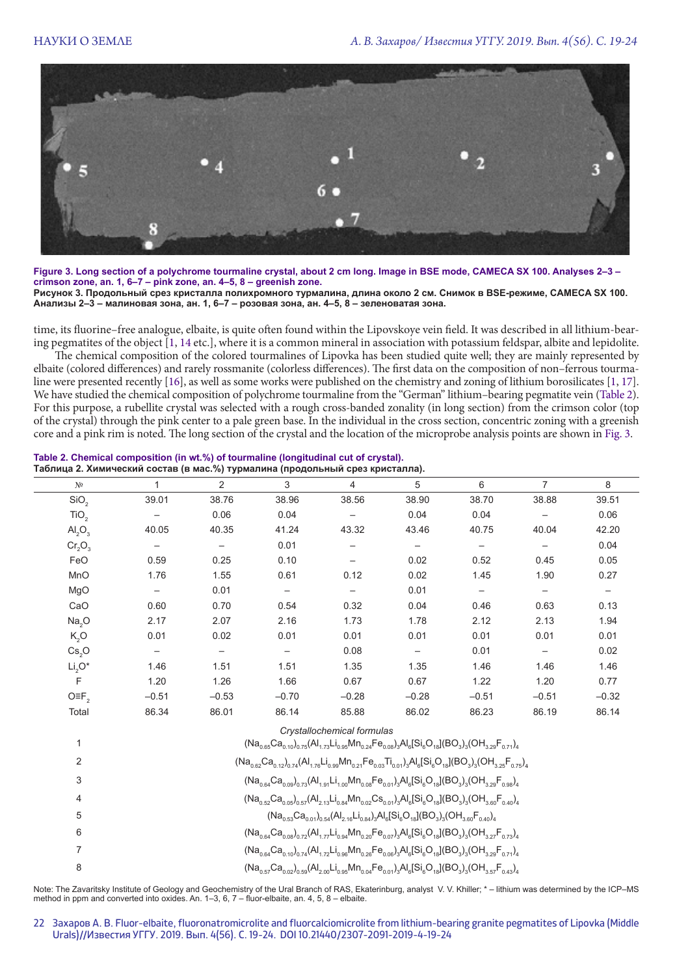

**Figure 3. Long section of a polychrome tourmaline crystal, about 2 cm long. Image in BSE mode, CAMECA SX 100. Analyses 2–3 – crimson zone, an. 1, 6–7 – pink zone, an. 4–5, 8 – greenish zone. Рисунок 3. Продольный срез кристалла полихромного турмалина, длина около 2 см. Снимок в BSE-режиме, CAMECA SX 100. Анализы 2–3 – малиновая зона, ан. 1, 6–7 – розовая зона, ан. 4–5, 8 – зеленоватая зона.**

time, its fluorine–free analogue, elbaite, is quite often found within the Lipovskoye vein field. It was described in all lithium-bearing pegmatites of the object [1, 14 etc.], where it is a common mineral in association with potassium feldspar, albite and lepidolite.

The chemical composition of the colored tourmalines of Lipovka has been studied quite well; they are mainly represented by elbaite (colored differences) and rarely rossmanite (colorless differences). The first data on the composition of non–ferrous tourmaline were presented recently [16], as well as some works were published on the chemistry and zoning of lithium borosilicates [1, 17]. We have studied the chemical composition of polychrome tourmaline from the "German" lithium–bearing pegmatite vein (Table 2). For this purpose, a rubellite crystal was selected with a rough cross-banded zonality (in long section) from the crimson color (top of the crystal) through the pink center to a pale green base. In the individual in the cross section, concentric zoning with a greenish core and a pink rim is noted. The long section of the crystal and the location of the microprobe analysis points are shown in Fig. 3.

#### **Table 2. Chemical composition (in wt.%) of tourmaline (longitudinal cut of crystal). Таблица 2. Химический состав (в мас.%) турмалина (продольный срез кристалла).**

| N <sup>0</sup>                 |                          | 2                 | 3                 | 4                          | 5                 | 6                        | 7                 | 8       |
|--------------------------------|--------------------------|-------------------|-------------------|----------------------------|-------------------|--------------------------|-------------------|---------|
| SiO <sub>2</sub>               | 39.01                    | 38.76             | 38.96             | 38.56                      | 38.90             | 38.70                    | 38.88             | 39.51   |
| TiO <sub>2</sub>               |                          | 0.06              | 0.04              |                            | 0.04              | 0.04                     |                   | 0.06    |
| AI <sub>2</sub> O <sub>3</sub> | 40.05                    | 40.35             | 41.24             | 43.32                      | 43.46             | 40.75                    | 40.04             | 42.20   |
| $Cr_2O_3$                      | $\overline{\phantom{m}}$ | $\qquad \qquad -$ | 0.01              |                            | $\qquad \qquad -$ | $\overline{\phantom{m}}$ | $\qquad \qquad -$ | 0.04    |
| FeO                            | 0.59                     | 0.25              | 0.10              |                            | 0.02              | 0.52                     | 0.45              | 0.05    |
| MnO                            | 1.76                     | 1.55              | 0.61              | 0.12                       | 0.02              | 1.45                     | 1.90              | 0.27    |
| MgO                            |                          | 0.01              | $\qquad \qquad -$ | $\qquad \qquad -$          | 0.01              | $\qquad \qquad -$        |                   |         |
| CaO                            | 0.60                     | 0.70              | 0.54              | 0.32                       | 0.04              | 0.46                     | 0.63              | 0.13    |
| Na <sub>2</sub> O              | 2.17                     | 2.07              | 2.16              | 1.73                       | 1.78              | 2.12                     | 2.13              | 1.94    |
| K, O                           | 0.01                     | 0.02              | 0.01              | 0.01                       | 0.01              | 0.01                     | 0.01              | 0.01    |
| Cs <sub>2</sub> O              |                          |                   |                   | 0.08                       |                   | 0.01                     |                   | 0.02    |
| $Li2O*$                        | 1.46                     | 1.51              | 1.51              | 1.35                       | 1.35              | 1.46                     | 1.46              | 1.46    |
| F                              | 1.20                     | 1.26              | 1.66              | 0.67                       | 0.67              | 1.22                     | 1.20              | 0.77    |
| $O\equiv F$ <sub>2</sub>       | $-0.51$                  | $-0.53$           | $-0.70$           | $-0.28$                    | $-0.28$           | $-0.51$                  | $-0.51$           | $-0.32$ |
| Total                          | 86.34                    | 86.01             | 86.14             | 85.88                      | 86.02             | 86.23                    | 86.19             | 86.14   |
|                                |                          |                   |                   | Crystallochemical formulas |                   |                          |                   |         |

|   | $(Na_{0.65}Ca_{0.10})_{0.75}(Al_{1.73}Li_{0.95}Mn_{0.24}Fe_{0.08})_{3}Al_{6}[Si_{6}O_{18}](BO_{3})_{3}(OH_{3.29}F_{0.71})_{4}$ |
|---|--------------------------------------------------------------------------------------------------------------------------------|
| 2 | $(Na_{0.62}Ca_{0.12})_{0.74}(Al_{1.76}Li_{0.99}Mn_{0.21}Fe_{0.03}Ti_{0.01})_3Al_6[Si_6O_{18}](BO_3)_3(OH_{3.25}F_{0.75})_4$    |
| 3 | $(Na_{0.64}Ca_{0.09})_{0.73}(Al_{1.91}Li_{1.00}Mn_{0.08}Fe_{0.01})_3Al_6[Sl_6O_{18}](BO_3)_{3}(OH_{3.29}F_{0.98})_4$           |
| 4 | $(Na_{0.52}Ca_{0.05})_{0.57} (Al_{2.13}Li_{0.84} Mn_{0.02} Cs_{0.01})_3 Al_6[Si_6O_{18}] (BO_3)_3 (OH_{3.60}F_{0.40})_4$       |
| 5 | $(Na_{0.53}Ca_{0.01})_{0.54}(Al_{2.16}Li_{0.84})_3Al_6[Si_6O_{18}](BO_3)_3(OH_{3.60}F_{0.40})_4$                               |
| 6 | $(Na_{0.64}Ca_{0.08})_{0.72}(Al_{1.77}Li_{0.94}Mn_{0.20}Fe_{0.07})_3Al_6[Si_6O_{18}](BO_3)_3(OH_{3.27}F_{0.73})_4$             |
|   | $(Na_{0.64}Ca_{0.10})_{0.74}(Al_{1.72}Li_{0.96}Mn_{0.26}Fe_{0.06})_3Al_6[Si_6O_{18}](BO_3)_3(OH_{3.29}F_{0.71})_4$             |
| 8 | $(Na_{0.57}Ca_{0.02})_{0.59}(Al_{2.00}Li_{0.95}Mn_{0.04}Fe_{0.01})_3Al_6[Si_6O_{18}](BO_3)_3(OH_{3.57}F_{0.43})_4$             |

Note: The Zavaritsky Institute of Geology and Geochemistry of the Ural Branch of RAS, Ekaterinburg, analyst V. V. Khiller; \* – lithium was determined by the ICP–MS method in ppm and converted into oxides. An. 1–3, 6, 7 – fluor-elbaite, an. 4, 5, 8 – elbaite.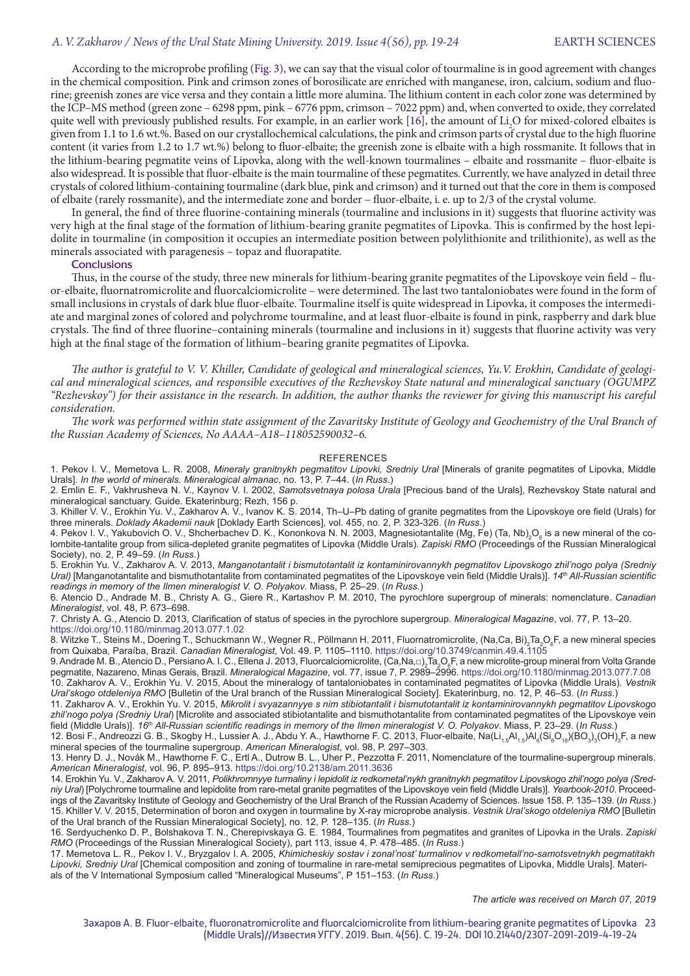## *A. V. Zakharov / News of the Ural State Mining University. 2019. Issue 4(56), pp. 19-24* EARTH SCIENCES

(According to the microsoft profile is the color of total profile is the microsoft profile is the microsoft profile is the microsoft profile is the microsoft profile is the microsoft profile is the microsoft profile is t in the chemical composition. Pink and crimson zones of borosilicate are enriched with manganese, iron, calcium, sodium and fluorine; greenish zones are vice versa and they contain a little more alumina. The lithium content in each color zone was determined by the ICP–MS method (green zone – 6298 ppm, pink – 6776 ppm, crimson – 7022 ppm) and, when converted to oxide, they correlated quite well with previously published results. For example, in an earlier work [16], the amount of  $Li<sub>2</sub>O$  for mixed-colored elbaites is given from 1.1 to 1.6 wt.%. Based on our crystallochemical calculations, the pink and crimson parts of crystal due to the high fluorine content (it varies from 1.2 to 1.7 wt.%) belong to fluor-elbaite; the greenish zone is elbaite with a high rossmanite. It follows that in the lithium-bearing pegmatite veins of Lipovka, along with the well-known tourmalines – elbaite and rossmanite – fluor-elbaite is also widespread. It is possible that fluor-elbaite is the main tourmaline of these pegmatites. Currently, we have analyzed in detail three crystals of colored lithium-containing tourmaline (dark blue, pink and crimson) and it turned out that the core in them is composed of elbaite (rarely rossmanite), and the intermediate zone and border – fluor-elbaite, i. e. up to 2/3 of the crystal volume.

In general, the find of three fluorine-containing minerals (tourmaline and inclusions in it) suggests that fluorine activity was very high at the final stage of the formation of lithium-bearing granite pegmatites of Lipovka. This is confirmed by the host lepidolite in tourmaline (in composition it occupies an intermediate position between polylithionite and trilithionite), as well as the minerals associated with paragenesis – topaz and fluorapatite.

## **Conclusions**

Thus, in the course of the study, three new minerals for lithium-bearing granite pegmatites of the Lipovskoye vein field – fluor-elbaite, fluornatromicrolite and fluorcalciomicrolite – were determined. The last two tantaloniobates were found in the form of small inclusions in crystals of dark blue fluor-elbaite. Tourmaline itself is quite widespread in Lipovka, it composes the intermediate and marginal zones of colored and polychrome tourmaline, and at least fluor-elbaite is found in pink, raspberry and dark blue crystals. The find of three fluorine–containing minerals (tourmaline and inclusions in it) suggests that fluorine activity was very high at the final stage of the formation of lithium–bearing granite pegmatites of Lipovka.

*The author is grateful to V. V. Khiller, Candidate of geological and mineralogical sciences, Yu.V. Erokhin, Candidate of geological and mineralogical sciences, and responsible executives of the Rezhevskoy State natural and mineralogical sanctuary (OGUMPZ "Rezhevskoy") for their assistance in the research. In addition, the author thanks the reviewer for giving this manuscript his careful consideration.*

*The work was performed within state assignment of the Zavaritsky Institute of Geology and Geochemistry of the Ural Branch of the Russian Academy of Sciences, No АААА–А18–118052590032–6.*

#### **REFERENCES**

1. Pekov I. V., Memetova L. R. 2008, *Mineraly granitnykh pegmatitov Lipovki, Sredniy Ural* [Minerals of granite pegmatites of Lipovka, Middle Urals]. *In the world of minerals. Mineralogical almanac*, no. 13, P. 7–44. (*In Russ*.)

2. Emlin E. F., Vakhrusheva N. V., Kaynov V. I. 2002, *Samotsvetnaya polosa Urala* [Precious band of the Urals], Rezhevskoy State natural and mineralogical sanctuary. Guide. Ekaterinburg; Rezh, 156 p.

3. Khiller V. V., Erokhin Yu. V., Zakharov A. V., Ivanov K. S. 2014, Th–U–Pb dating of granite pegmatites from the Lipovskoye ore field (Urals) for three minerals. *Doklady Akademii nauk* [Doklady Earth Sciences], vol. 455, no. 2, P. 323-326. (*In Russ*.)

4. Pekov I. V., Yakubovich O. V., Shcherbachev D. K., Kononkova N. N. 2003, Magnesiotantalite (Mg, Fe) (Ta, Nb)<sub>2</sub>O<sub>6</sub> is a new mineral of the colombite-tantalite group from silica-depleted granite pegmatites of Lipovka (Middle Urals). *Zapiski RMO* (Proceedings of the Russian Mineralogical Society), no. 2, P. 49–59. (*In Russ*.)

5. Erokhin Yu. V., Zakharov A. V. 2013, *Manganotantalit i bismutotantalit iz kontaminirovannykh pegmatitov Lipovskogo zhil'nogo polya (Sredniy Ural)* [Manganotantalite and bismuthotantalite from contaminated pegmatites of the Lipovskoye vein field (Middle Urals)]. *14th All-Russian scientific readings in memory of the Ilmen mineralogist V. O. Polyakov*. Miass, P. 25–29. (*In Russ*.)

6. Atencio D., Andrade M. B., Christy A. G., Giere R., Kartashov P. M. 2010, The pyrochlore supergroup of minerals: nomenclature. *Canadian Mineralogist*, vol. 48, P. 673–698.

7. Christy A. G., Atencio D. 2013, Clarification of status of species in the pyrochlore supergroup. *Mineralogical Magazine*, vol. 77, P. 13–20. https://doi.org/10.1180/minmag.2013.077.1.02

8. Witzke T., Steins M., Doering T., Schuckmann W., Wegner R., Pöllmann H. 2011, Fluornatromicrolite, (Na,Ca, Bi),Ta,O<sub>s</sub>F, a new mineral species from Quixaba, Paraíba, Brazil. *Canadian Mineralogist*, Vol. 49. P. 1105–1110. https://doi.org/10.3749/canmin.49.4.1105

9. Andrade M. B., Atencio D., Persiano A. I. C., Ellena J. 2013, Fluorcalciomicrolite, (Ca,Na,□)<sub>2</sub>Ta,O<sub>s</sub>F, a new microlite-group mineral from Volta Grande pegmatite, Nazareno, Minas Gerais, Brazil. *Mineralogical Magazine*, vol. 77, issue 7, P. 2989–2996. https://doi.org/10.1180/minmag.2013.077.7.08 10. Zakharov A. V., Erokhin Yu. V. 2015, About the mineralogy of tantaloniobates in contaminated pegmatites of Lipovka (Middle Urals). *Vestnik Ural'skogo otdeleniya RMO* [Bulletin of the Ural branch of the Russian Mineralogical Society]. Ekaterinburg, no. 12, P. 46–53. (*In Russ*.)

11. Zakharov A. V., Erokhin Yu. V. 2015, *Mikrolit i svyazannyye s nim stibiotantalit i bismutotantalit iz kontaminirovannykh pegmatitov Lipovskogo zhil'nogo polya (Sredniy Ural*) [Microlite and associated stibiotantalite and bismuthotantalite from contaminated pegmatites of the Lipovskoye vein field (Middle Urals)]. *16th All-Russian scientific readings in memory of the Ilmen mineralogist V. O. Polyakov*. Miass, P. 23–29. (*In Russ*.)

12. Bosi F., Andreozzi G. B., Skogby H., Lussier A. J., Abdu Y. A., Hawthorne F. C. 2013, Fluor-elbaite, Na(Li<sub>1.5</sub>Al<sub>1.5</sub>)Al<sub>6</sub>(Si<sub>6</sub>O<sub>18</sub>)(BO<sub>3</sub>),(OH)<sub>3</sub>F, a new mineral species of the tourmaline supergroup. *American Mineralogist*, vol. 98, P. 297–303.

13. Henry D. J., Novák M., Hawthorne F. C., Ertl A., Dutrow B. L., Uher P., Pezzotta F. 2011, Nomenclature of the tourmaline-supergroup minerals. *American Mineralogist*, vol. 96, P. 895–913. https://doi.org/10.2138/am.2011.3636

14. Erokhin Yu. V., Zakharov A. V. 2011, *Polikhromnyye turmaliny i lepidolit iz redkometal'nykh granitnykh pegmatitov Lipovskogo zhil'nogo polya (Sredniy Ural*) [Polychrome tourmaline and lepidolite from rare-metal granite pegmatites of the Lipovskoye vein field (Middle Urals)]. *Yearbook-2010*. Proceedings of the Zavaritsky Institute of Geology and Geochemistry of the Ural Branch of the Russian Academy of Sciences. Issue 158. P. 135–139. (*In Russ*.) 15. Khiller V. V. 2015, Determination of boron and oxygen in tourmaline by X-ray microprobe analysis. *Vestnik Ural'skogo otdeleniya RMO* [Bulletin of the Ural branch of the Russian Mineralogical Society], no. 12, P. 128–135. (*In Russ*.)

16. Serdyuchenko D. P., Bolshakova T. N., Cherepivskaya G. E. 1984, Tourmalines from pegmatites and granites of Lipovka in the Urals. *Zapiski RMO* (Proceedings of the Russian Mineralogical Society), part 113, issue 4, P. 478–485. (*In Russ*.)

17. Memetova L. R., Pekov I. V., Bryzgalov I. A. 2005, *Khimicheskiy sostav i zonal'nost' turmalinov v redkometall'no-samotsvetnykh pegmatitakh Lipovki, Sredniy Ural* [Chemical composition and zoning of tourmaline in rare-metal semiprecious pegmatites of Lipovka, Middle Urals]. Materials of the V International Symposium called "Mineralogical Museums", P 151–153. (*In Russ*.)

*The article was received on March 07, 2019*